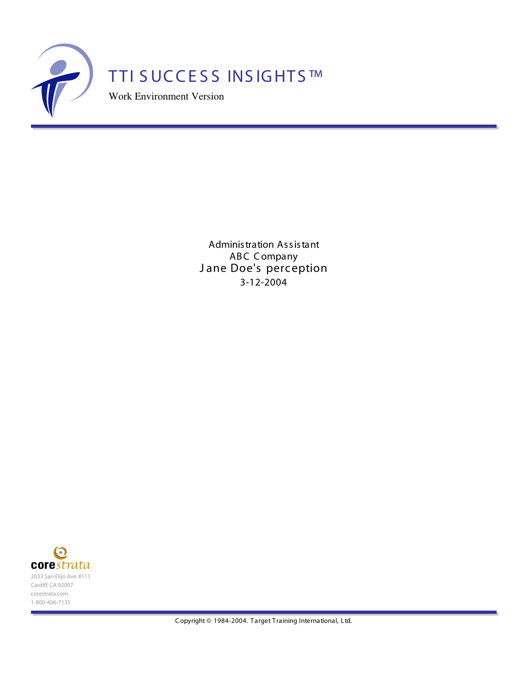

Administration Assistant ABC Company J ane Doe's perception 3-12-2004



Copyright © 1984-2004. Target Training International, Ltd.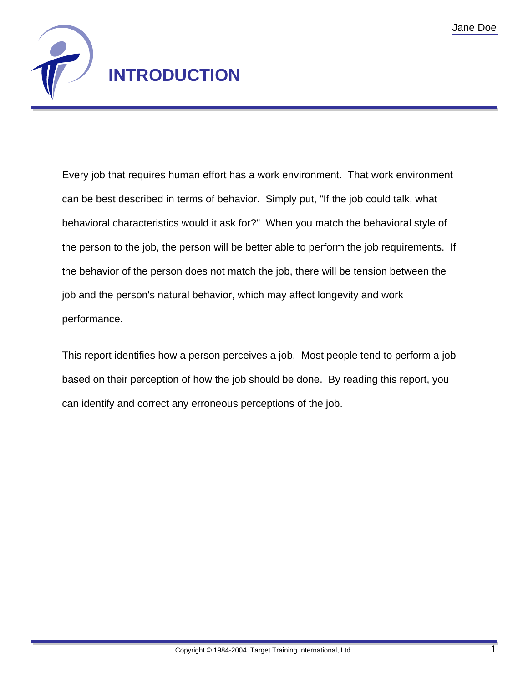

Every job that requires human effort has a work environment. That work environment can be best described in terms of behavior. Simply put, "If the job could talk, what behavioral characteristics would it ask for?" When you match the behavioral style of the person to the job, the person will be better able to perform the job requirements. If the behavior of the person does not match the job, there will be tension between the job and the person's natural behavior, which may affect longevity and work performance.

This report identifies how a person perceives a job. Most people tend to perform a job based on their perception of how the job should be done. By reading this report, you can identify and correct any erroneous perceptions of the job.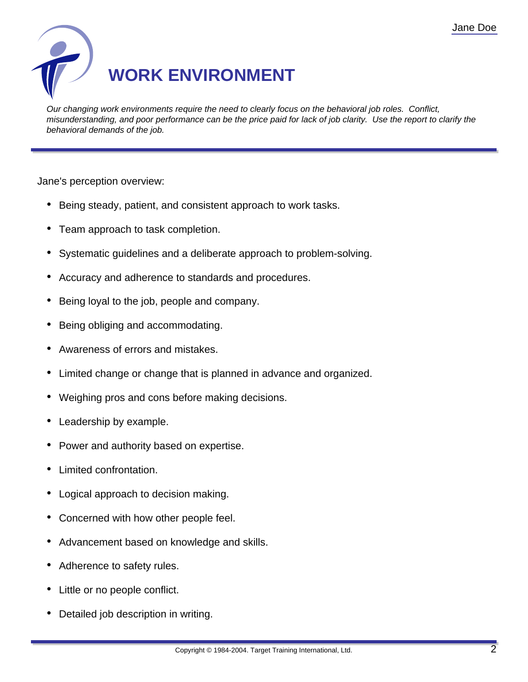

Our changing work environments require the need to clearly focus on the behavioral job roles. Conflict, misunderstanding, and poor performance can be the price paid for lack of job clarity. Use the report to clarify the behavioral demands of the job.

Jane's perception overview:

- Being steady, patient, and consistent approach to work tasks.
- Team approach to task completion.
- Systematic guidelines and a deliberate approach to problem-solving.
- Accuracy and adherence to standards and procedures.
- Being loyal to the job, people and company.
- Being obliging and accommodating.
- Awareness of errors and mistakes.
- Limited change or change that is planned in advance and organized.
- Weighing pros and cons before making decisions.
- Leadership by example.
- Power and authority based on expertise.
- Limited confrontation.
- Logical approach to decision making.
- Concerned with how other people feel.
- Advancement based on knowledge and skills.
- Adherence to safety rules.
- Little or no people conflict.
- Detailed job description in writing.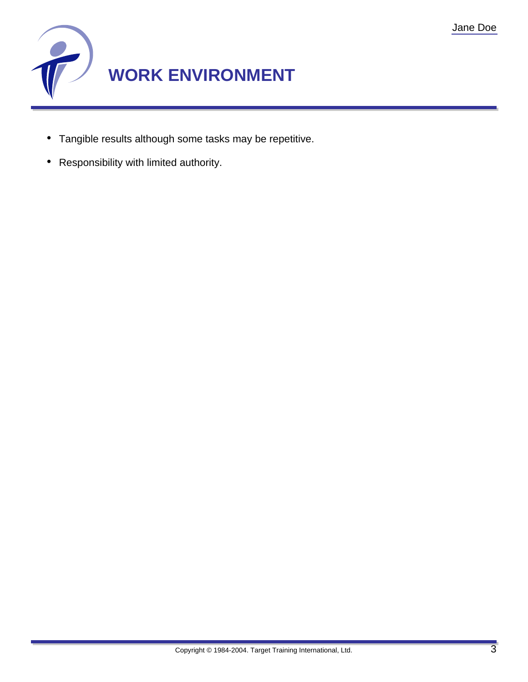

- Tangible results although some tasks may be repetitive.
- Responsibility with limited authority.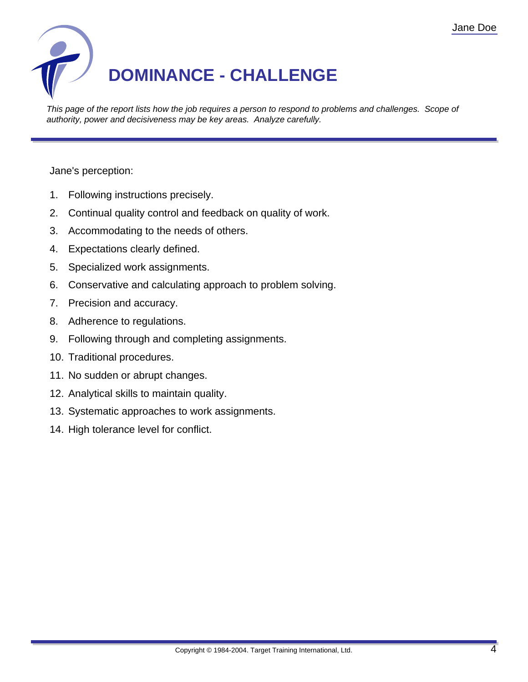

This page of the report lists how the job requires a person to respond to problems and challenges. Scope of authority, power and decisiveness may be key areas. Analyze carefully.

- 1. Following instructions precisely.
- 2. Continual quality control and feedback on quality of work.
- 3. Accommodating to the needs of others.
- 4. Expectations clearly defined.
- 5. Specialized work assignments.
- 6. Conservative and calculating approach to problem solving.
- 7. Precision and accuracy.
- 8. Adherence to regulations.
- 9. Following through and completing assignments.
- 10. Traditional procedures.
- 11. No sudden or abrupt changes.
- 12. Analytical skills to maintain quality.
- 13. Systematic approaches to work assignments.
- 14. High tolerance level for conflict.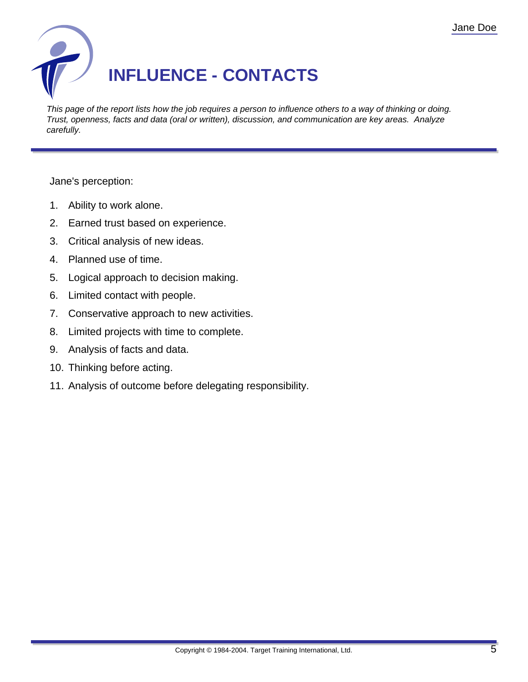

This page of the report lists how the job requires a person to influence others to a way of thinking or doing. Trust, openness, facts and data (oral or written), discussion, and communication are key areas. Analyze carefully.

- 1. Ability to work alone.
- 2. Earned trust based on experience.
- 3. Critical analysis of new ideas.
- 4. Planned use of time.
- 5. Logical approach to decision making.
- 6. Limited contact with people.
- 7. Conservative approach to new activities.
- 8. Limited projects with time to complete.
- 9. Analysis of facts and data.
- 10. Thinking before acting.
- 11. Analysis of outcome before delegating responsibility.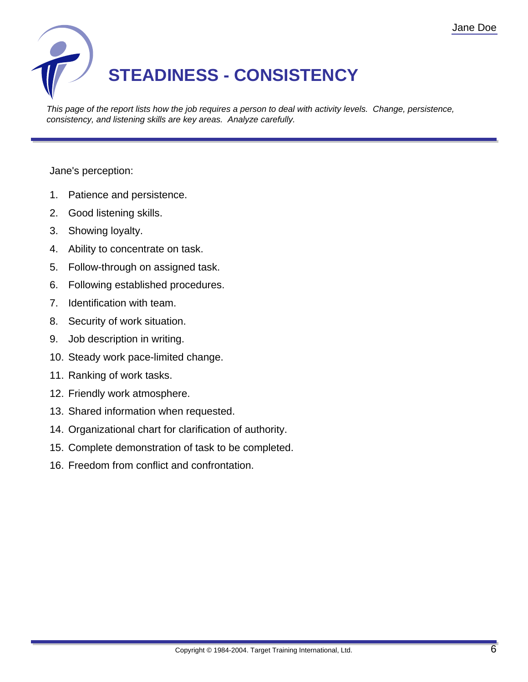

This page of the report lists how the job requires a person to deal with activity levels. Change, persistence, consistency, and listening skills are key areas. Analyze carefully.

- 1. Patience and persistence.
- 2. Good listening skills.
- 3. Showing loyalty.
- 4. Ability to concentrate on task.
- 5. Follow-through on assigned task.
- 6. Following established procedures.
- 7. Identification with team.
- 8. Security of work situation.
- 9. Job description in writing.
- 10. Steady work pace-limited change.
- 11. Ranking of work tasks.
- 12. Friendly work atmosphere.
- 13. Shared information when requested.
- 14. Organizational chart for clarification of authority.
- 15. Complete demonstration of task to be completed.
- 16. Freedom from conflict and confrontation.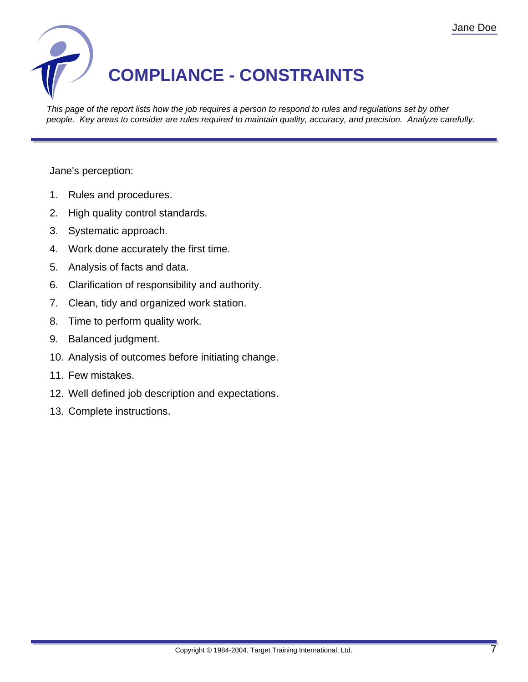

This page of the report lists how the job requires a person to respond to rules and regulations set by other people. Key areas to consider are rules required to maintain quality, accuracy, and precision. Analyze carefully.

- 1. Rules and procedures.
- 2. High quality control standards.
- 3. Systematic approach.
- 4. Work done accurately the first time.
- 5. Analysis of facts and data.
- 6. Clarification of responsibility and authority.
- 7. Clean, tidy and organized work station.
- 8. Time to perform quality work.
- 9. Balanced judgment.
- 10. Analysis of outcomes before initiating change.
- 11. Few mistakes.
- 12. Well defined job description and expectations.
- 13. Complete instructions.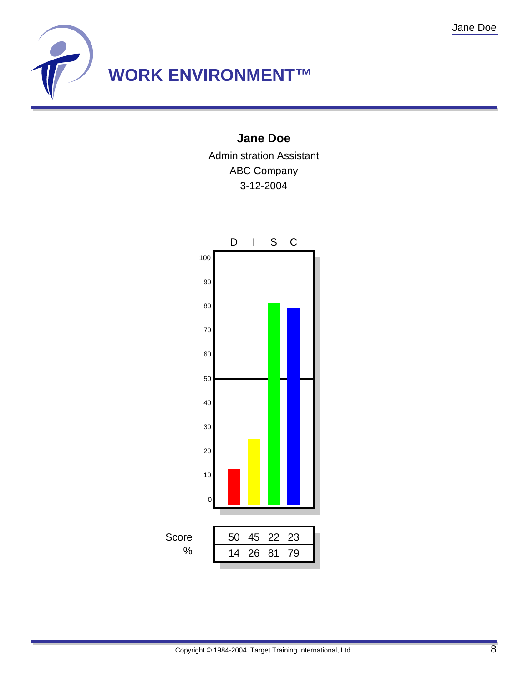

**Jane Doe**

Administration Assistant ABC Company 3-12-2004